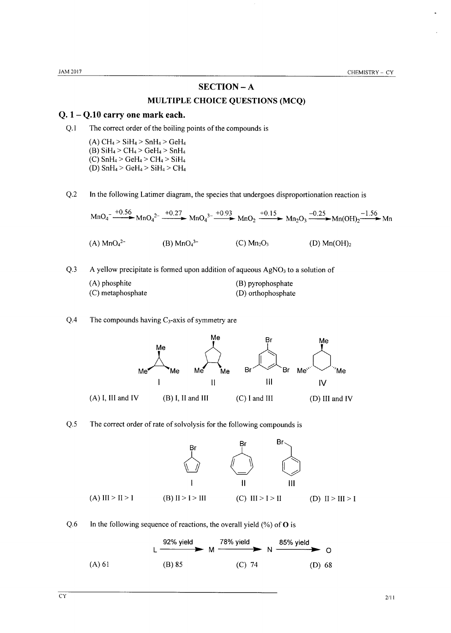### **SECTION-A**

### MULTIPLE CHOICE QUESTIONS (MCQ)

### $Q. 1 - Q.10$  carry one mark each.

 $Q.1$ The correct order of the boiling points of the compounds is

> (A)  $CH_4 > SiH_4 > SnH_4 > GeH_4$ (B)  $SiH_4 > CH_4 > GeH_4 > SnH_4$ (C)  $SnH_4 > GeH_4 > CH_4 > SiH_4$ (D)  $\text{SnH}_4$  >  $\text{GeH}_4$  >  $\text{SiH}_4$  >  $\text{CH}_4$

 $Q.2$ In the following Latimer diagram, the species that undergoes disproportionation reaction is

$$
MnO4- \xrightarrow{+0.56} MnO42- \xrightarrow{+0.27} MnO43- \xrightarrow{+0.93} MnO2 \xrightarrow{+0.15} Mn2O3 \xrightarrow{-0.25} Mn(OH)2 \xrightarrow{-1.56} MnOH2-1.56 Mn
$$
\n(A) MnO<sub>4</sub><sup>2-</sup> (B) MnO<sub>4</sub><sup>3-</sup> (C) Mn<sub>2</sub>O<sub>3</sub> (D) Mn(OH)<sub>2</sub>

 $Q.3$ A yellow precipitate is formed upon addition of aqueous  $AgNO<sub>3</sub>$  to a solution of

| (A) phosphite     | (B) pyrophosphate  |
|-------------------|--------------------|
| (C) metaphosphate | (D) orthophosphate |

 $Q.4$ The compounds having  $C_3$ -axis of symmetry are



#### $Q.5$ The correct order of rate of solvolysis for the following compounds is



 $Q.6$ In the following sequence of reactions, the overall yield  $(\% )$  of O is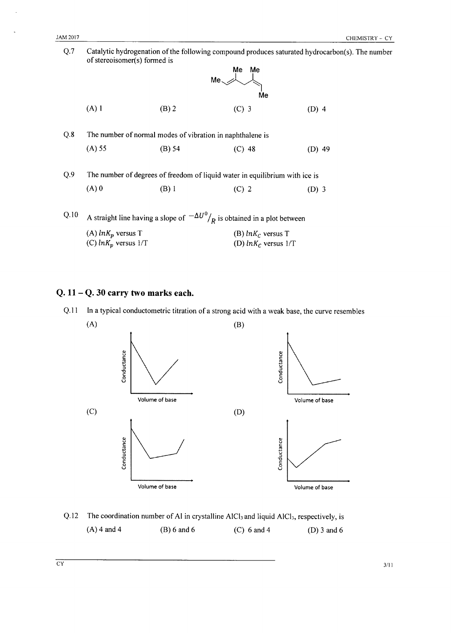| Q.7  | Catalytic hydrogenation of the following compound produces saturated hydrocarbon(s). The number<br>of stereoisomer(s) formed is |                                                           |                         |          |  |  |
|------|---------------------------------------------------------------------------------------------------------------------------------|-----------------------------------------------------------|-------------------------|----------|--|--|
|      |                                                                                                                                 |                                                           | Me<br>Me                |          |  |  |
|      |                                                                                                                                 | Me.                                                       |                         |          |  |  |
|      |                                                                                                                                 |                                                           |                         |          |  |  |
|      |                                                                                                                                 |                                                           | Me                      |          |  |  |
|      | $(A)$ 1                                                                                                                         | $(B)$ 2                                                   | $(C)$ 3                 | $(D)$ 4  |  |  |
|      |                                                                                                                                 |                                                           |                         |          |  |  |
| Q.8  |                                                                                                                                 | The number of normal modes of vibration in naphthalene is |                         |          |  |  |
|      |                                                                                                                                 |                                                           |                         |          |  |  |
|      | $(A)$ 55                                                                                                                        | $(B)$ 54                                                  | $(C)$ 48                | $(D)$ 49 |  |  |
|      |                                                                                                                                 |                                                           |                         |          |  |  |
| Q.9  | The number of degrees of freedom of liquid water in equilibrium with ice is                                                     |                                                           |                         |          |  |  |
|      | $(A)$ 0                                                                                                                         | $(B)$ 1                                                   | $(C)$ 2                 | $(D)$ 3  |  |  |
|      |                                                                                                                                 |                                                           |                         |          |  |  |
| Q.10 |                                                                                                                                 |                                                           |                         |          |  |  |
|      | A straight line having a slope of $-\Delta U^0/_{R}$ is obtained in a plot between                                              |                                                           |                         |          |  |  |
|      | (A) $ln K_p$ versus T                                                                                                           |                                                           | (B) $ln K_c$ versus T   |          |  |  |
|      | (C) $ln K_p$ versus $1/T$                                                                                                       |                                                           | (D) $ln K_C$ versus 1/T |          |  |  |
|      |                                                                                                                                 |                                                           |                         |          |  |  |

## $Q. 11 - Q. 30$  carry two marks each.





Q.12 The coordination number of Al in crystalline AlCl<sub>3</sub> and liquid AlCl<sub>3</sub>, respectively, is  $(A)$  4 and 4  $(B) 6$  and  $6$  $(C)$  6 and 4 (D)  $3$  and  $6$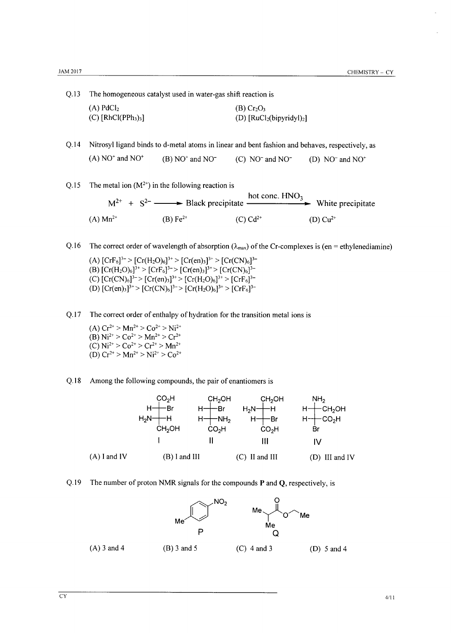Q.13 The homogeneous catalyst used in water-gas shift reaction is

| $(A)$ PdCl <sub>2</sub>                       | (B) Cr <sub>2</sub> O <sub>3</sub> |
|-----------------------------------------------|------------------------------------|
| $(C)$ [RhCl(PPh <sub>3</sub> ) <sub>3</sub> ] | (D) $[RuCl2(bipyridyl)2]$          |

Q.14 Nitrosyl ligand binds to d-metal atoms in linear and bent fashion and behaves, respectively, as  $(A) NO<sup>+</sup>$  and  $NO<sup>+</sup>$  $(B) NO<sup>+</sup>$  and NO<sup>-</sup> (C) NO<sup>-</sup> and NO<sup>-</sup> (D)  $NO<sup>-</sup>$  and  $NO<sup>+</sup>$ 

Q.15 The metal ion  $(M^{2+})$  in the following reaction is

hot conc. HNO<sub>3</sub>  $M^{2+}$  +  $S^{2-}$  Black precipitate – White precipitate  $(C) Cd^{2+}$  $(A) Mn^{2+}$ (B)  $Fe^{2+}$  $(D) Cu<sup>2+</sup>$ 

Q.16 The correct order of wavelength of absorption  $(\lambda_{max})$  of the Cr-complexes is (en = ethylenediamine)

(A)  $[CrF_6]^{3-} > [Cr(H_2O)_6]^{3+} > [Cr(en)_3]^{3+} > [Cr(CN)_6]^{3-}$ (B)  $[Cr(H<sub>2</sub>O)<sub>6</sub>]<sup>3+</sup> > [CrF<sub>6</sub>]<sup>3-</sup> > [Cr(en)<sub>3</sub>]<sup>3+</sup> > [Cr(CN)<sub>6</sub>]<sup>3-</sup>  
(C)  $[Cr(CN)<sub>6</sub>]<sup>3-</sup> > [Cr(en)<sub>3</sub>]<sup>3+</sup> > [Cr(H<sub>2</sub>O)<sub>6</sub>]<sup>3+</sup> > [CrF<sub>6</sub>]<sup>3-</sup>$$ (D)  $[Cr(en)_3]^{3+}$  >  $[Cr(CN)_6]^{3-}$  >  $[Cr(H_2O)_6]^{3+}$  >  $[CrF_6]^{3-}$ 

 $Q.17$ The correct order of enthalpy of hydration for the transition metal ions is

(A)  $Cr^{2+} > Mn^{2+} > Co^{2+} > Ni^{2+}$ (B)  $Ni^{2+} > Co^{2+} > Mn^{2+} > Cr^{2+}$ (C)  $Ni^{2+} > Co^{2+} > Cr^{2+} > Mn^{2+}$ (D)  $Cr^{2+} > Mn^{2+} > Ni^{2+} > Co^{2+}$ 

 $Q.18$ Among the following compounds, the pair of enantiomers is



 $O.19$ The number of proton NMR signals for the compounds  $P$  and  $Q$ , respectively, is

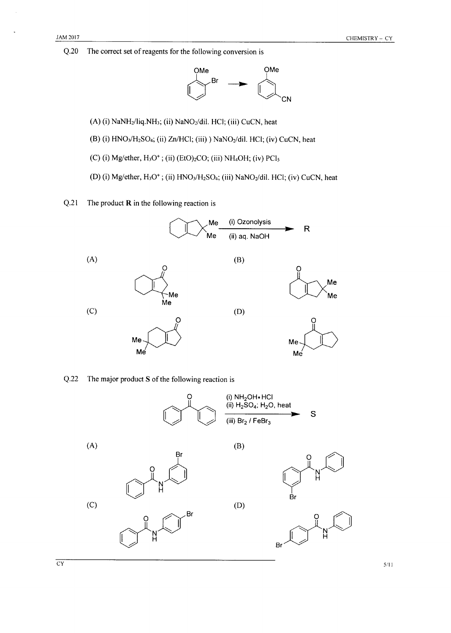$Q.20$ The correct set of reagents for the following conversion is



- (A) (i) NaNH<sub>2</sub>/liq.NH<sub>3</sub>; (ii) NaNO<sub>2</sub>/dil. HCl; (iii) CuCN, heat
- (B) (i) HNO<sub>3</sub>/H<sub>2</sub>SO<sub>4</sub>; (ii) Zn/HCl; (iii) ) NaNO<sub>2</sub>/dil. HCl; (iv) CuCN, heat
- (C) (i) Mg/ether,  $H_3O^+$ ; (ii) (EtO)<sub>2</sub>CO; (iii) NH<sub>4</sub>OH; (iv) PCl<sub>5</sub>
- (D) (i) Mg/ether, H<sub>3</sub>O<sup>+</sup>; (ii) HNO<sub>3</sub>/H<sub>2</sub>SO<sub>4</sub>; (iii) NaNO<sub>2</sub>/dil. HCl; (iv) CuCN, heat
- $Q.21$ The product  $R$  in the following reaction is



#### $Q.22$ The major product S of the following reaction is



 $5/11$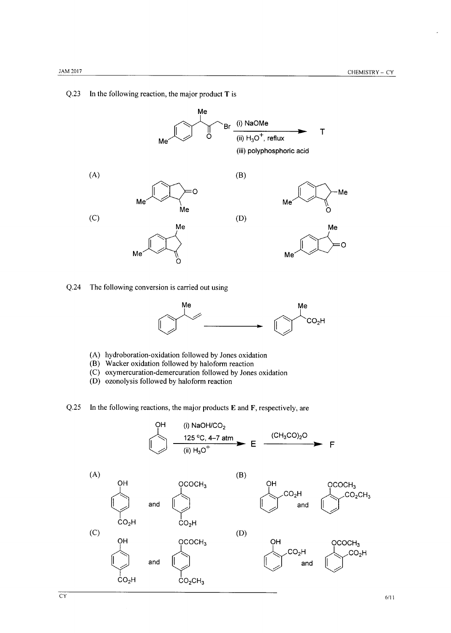$\overline{CY}$ 

#### $Q.23$ In the following reaction, the major product T is



 $Q.24$ The following conversion is carried out using



- (A) hydroboration-oxidation followed by Jones oxidation
- (B) Wacker oxidation followed by haloform reaction
- (C) oxymercuration-demercuration followed by Jones oxidation
- (D) ozonolysis followed by haloform reaction
- In the following reactions, the major products  $E$  and  $F$ , respectively, are  $Q.25$

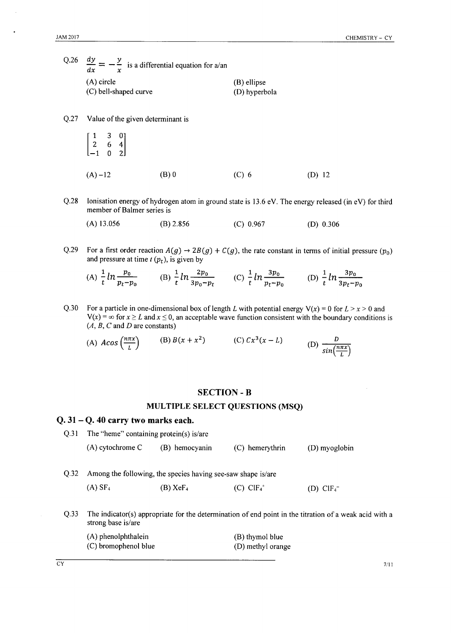| Q.26 | dy<br>$=$ $-$ is a differential equation for a/an<br>dx |               |
|------|---------------------------------------------------------|---------------|
|      | (A) circle                                              | (B) ellipse   |
|      | (C) bell-shaped curve                                   | (D) hyperbola |

Q.27 Value of the given determinant is

$$
\begin{bmatrix} 1 & 3 & 0 \ 2 & 6 & 4 \ -1 & 0 & 2 \end{bmatrix}
$$
  
(A) -12 (B) 0 (C) 6 (D) 12

- $Q.28$ Ionisation energy of hydrogen atom in ground state is 13.6 eV. The energy released (in eV) for third member of Balmer series is
	- $(A)$  13.056  $(B)$  2.856  $(C) 0.967$  $(D)$  0.306
- $Q.29$ For a first order reaction  $A(g) \rightarrow 2B(g) + C(g)$ , the rate constant in terms of initial pressure  $(p_0)$ and pressure at time  $t$  ( $p_t$ ), is given by

(A) 
$$
\frac{1}{t} \ln \frac{p_0}{p_t - p_0}
$$
 (B)  $\frac{1}{t} \ln \frac{2p_0}{3p_0 - p_t}$  (C)  $\frac{1}{t} \ln \frac{3p_0}{p_t - p_0}$  (D)  $\frac{1}{t} \ln \frac{3p_0}{3p_t - p_0}$ 

 $Q.30$ For a particle in one-dimensional box of length L with potential energy  $V(x) = 0$  for  $L > x > 0$  and  $V(x) = \infty$  for  $x \ge L$  and  $x \le 0$ , an acceptable wave function consistent with the boundary conditions is  $(A, B, C \text{ and } D \text{ are constants})$ 

(A)  $A\cos\left(\frac{n\pi x}{L}\right)$  (B)  $B(x+x^2)$  (C)  $Cx^3(x-L)$ (D)  $\frac{D}{\sin(\frac{n\pi x}{l})}$ 

#### **SECTION - B**

#### MULTIPLE SELECT QUESTIONS (MSQ)

#### $Q. 31 - Q. 40$  carry two marks each.

Q.31 The "heme" containing protein(s) is/are (A) cytochrome C (B) hemocyanin (C) hemerythrin (D) myoglobin Q.32 Among the following, the species having see-saw shape is/are  $(A)$  SF<sub>4</sub>  $(B)$  XeF<sub>4</sub>  $(C)$  ClF<sub>4</sub><sup>+</sup> (D)  $CIF<sub>4</sub>$ <sup>-</sup>  $Q.33$ The indicator(s) appropriate for the determination of end point in the titration of a weak acid with a strong base is/are (A) phenolphthalein (B) thymol blue (C) bromophenol blue (D) methyl orange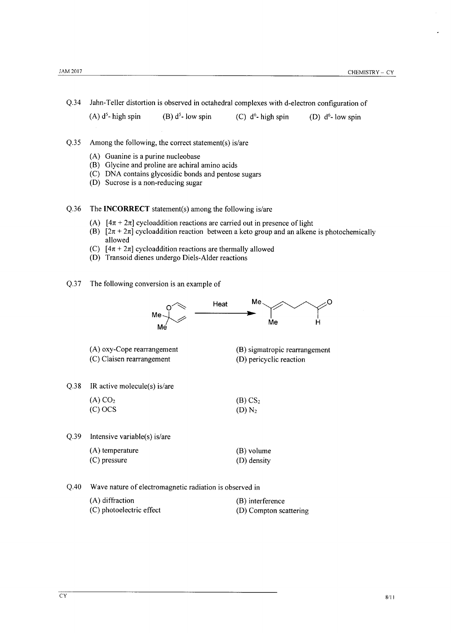$Q.34$ Jahn-Teller distortion is observed in octahedral complexes with d-electron configuration of

 $(A)$  d<sup>5</sup>-high spin (B)  $d^5$ - low spin (C)  $d^6$ - high spin (D)  $d^6$ - low spin

- $Q.35$ Among the following, the correct statement(s) is/are
	- (A) Guanine is a purine nucleobase
	- (B) Glycine and proline are achiral amino acids
	- (C) DNA contains glycosidic bonds and pentose sugars
	- (D) Sucrose is a non-reducing sugar
- $Q.36$ The **INCORRECT** statement(s) among the following is/are
	- (A)  $[4\pi + 2\pi]$  cycloaddition reactions are carried out in presence of light
	- (B)  $[2\pi + 2\pi]$  cycloaddition reaction between a keto group and an alkene is photochemically allowed
	- (C)  $[4\pi + 2\pi]$  cycloaddition reactions are thermally allowed
	- (D) Transoid dienes undergo Diels-Alder reactions
- $Q.37$ The following conversion is an example of

(C) photoelectric effect

|      | Me<br>Me                                                | Heat | Me<br>Me                                                 |  |  |  |
|------|---------------------------------------------------------|------|----------------------------------------------------------|--|--|--|
|      | (A) oxy-Cope rearrangement<br>(C) Claisen rearrangement |      | (B) sigmatropic rearrangement<br>(D) pericyclic reaction |  |  |  |
| Q.38 | IR active molecule(s) is/are                            |      |                                                          |  |  |  |
|      | $(A)$ CO <sub>2</sub><br>$(C)$ OCS                      |      | (B) CS <sub>2</sub><br>$(D) N_2$                         |  |  |  |
| Q.39 | Intensive variable(s) is/are                            |      |                                                          |  |  |  |
|      | (A) temperature<br>$(C)$ pressure                       |      | (B) volume<br>(D) density                                |  |  |  |
| Q.40 | Wave nature of electromagnetic radiation is observed in |      |                                                          |  |  |  |
|      | (A) diffraction                                         |      | (B) interference                                         |  |  |  |

(D) Compton scattering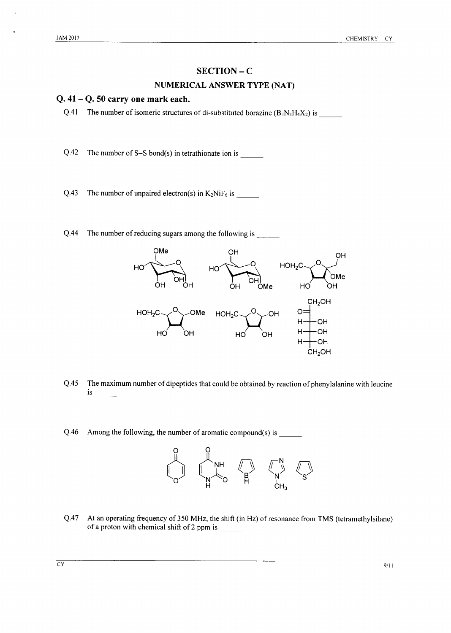### **SECTION-C**

#### **NUMERICAL ANSWER TYPE (NAT)**

#### $Q.41 - Q.50$  carry one mark each.

- The number of isomeric structures of di-substituted borazine  $(B_3N_3H_4X_2)$  is  $O.41$
- $Q.42$ The number of  $S-S$  bond(s) in tetrathionate ion is
- $Q.43$ The number of unpaired electron(s) in  $K_2N$ i $F_6$  is
- $Q.44$ The number of reducing sugars among the following is



- $Q.45$ The maximum number of dipeptides that could be obtained by reaction of phenylalanine with leucine *is* and the same of  $\sim$
- $Q.46$ Among the following, the number of aromatic compound(s) is



 $Q.47$ At an operating frequency of 350 MHz, the shift (in Hz) of resonance from TMS (tetramethylsilane) of a proton with chemical shift of 2 ppm is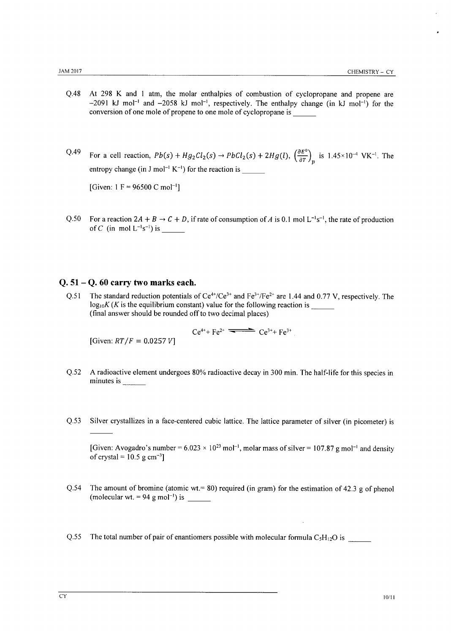- $O.48$ At 298 K and 1 atm, the molar enthalpies of combustion of cyclopropane and propene are  $-2091$  kJ mol<sup>-1</sup> and  $-2058$  kJ mol<sup>-1</sup>, respectively. The enthalpy change (in kJ mol<sup>-1</sup>) for the conversion of one mole of propene to one mole of cyclopropane is
- $Q.49$ For a cell reaction,  $Pb(s) + Hg_2Cl_2(s) \rightarrow PbCl_2(s) + 2Hg(l)$ ,  $\left(\frac{\partial E^0}{\partial T}\right)_n$  is 1.45×10<sup>-4</sup> VK<sup>-1</sup>. The entropy change (in J mol<sup>-1</sup> K<sup>-1</sup>) for the reaction is

[Given:  $1 F = 96500 C mol^{-1}$ ]

 $Q.50$ For a reaction  $2A + B \rightarrow C + D$ , if rate of consumption of A is 0.1 mol  $L^{-1}s^{-1}$ , the rate of production of C (in mol  $L^{-1}s^{-1}$ ) is

#### $Q. 51 - Q. 60$  carry two marks each.

The standard reduction potentials of  $Ce^{4t}/Ce^{3t}$  and  $Fe^{3t}/Fe^{2t}$  are 1.44 and 0.77 V, respectively. The  $O.51$  $log_{10} K (K)$  is the equilibrium constant) value for the following reaction is (final answer should be rounded off to two decimal places)

 $Ce^{4+} + Fe^{2+}$   $\longrightarrow$   $Ce^{3+} + Fe^{3+}$ 

[Given:  $RT/F = 0.0257 V$ ]

- A radioactive element undergoes 80% radioactive decay in 300 min. The half-life for this species in  $Q.52$ minutes is
- $O.53$ Silver crystallizes in a face-centered cubic lattice. The lattice parameter of silver (in picometer) is

[Given: Avogadro's number =  $6.023 \times 10^{23}$  mol<sup>-1</sup>, molar mass of silver = 107.87 g mol<sup>-1</sup> and density of crystal =  $10.5$  g cm<sup>-3</sup>]

- Q.54 The amount of bromine (atomic wt. = 80) required (in gram) for the estimation of 42.3 g of phenol (molecular wt. = 94 g mol<sup>-1</sup>) is
- $Q.55$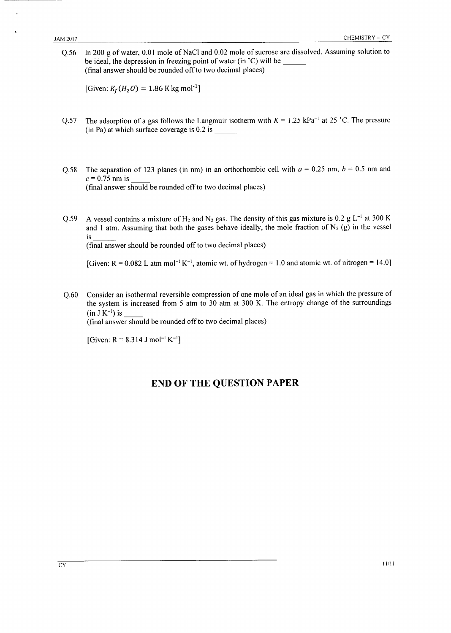In 200 g of water, 0.01 mole of NaCl and 0.02 mole of sucrose are dissolved. Assuming solution to  $Q.56$ be ideal, the depression in freezing point of water (in °C) will be (final answer should be rounded off to two decimal places)

[Given:  $K_f(H_2O) = 1.86$  K kg mol<sup>-1</sup>]

- The adsorption of a gas follows the Langmuir isotherm with  $K = 1.25$  kPa<sup>-1</sup> at 25 °C. The pressure  $0.57$  $(in Pa)$  at which surface coverage is 0.2 is
- The separation of 123 planes (in nm) in an orthorhombic cell with  $a = 0.25$  nm,  $b = 0.5$  nm and O.58  $c = 0.75$  nm is (final answer should be rounded off to two decimal places)
- A vessel contains a mixture of H<sub>2</sub> and N<sub>2</sub> gas. The density of this gas mixture is 0.2 g L<sup>-1</sup> at 300 K  $Q.59$ and 1 atm. Assuming that both the gases behave ideally, the mole fraction of  $N_2$  (g) in the vessel is

(final answer should be rounded off to two decimal places)

[Given:  $R = 0.082$  L atm mol<sup>-1</sup> K<sup>-1</sup>, atomic wt. of hydrogen = 1.0 and atomic wt. of nitrogen = 14.0]

Consider an isothermal reversible compression of one mole of an ideal gas in which the pressure of  $Q.60$ the system is increased from 5 atm to 30 atm at 300 K. The entropy change of the surroundings  $(in J K^{-1})$  is

(final answer should be rounded off to two decimal places)

[Given: R = 8.314 J mol<sup>-1</sup> K<sup>-1</sup>]

## **END OF THE QUESTION PAPER**